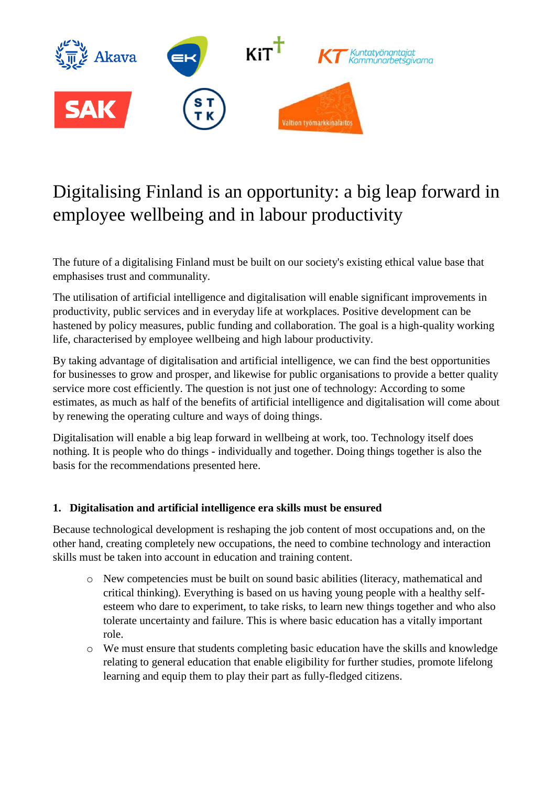

# Digitalising Finland is an opportunity: a big leap forward in employee wellbeing and in labour productivity

The future of a digitalising Finland must be built on our society's existing ethical value base that emphasises trust and communality.

The utilisation of artificial intelligence and digitalisation will enable significant improvements in productivity, public services and in everyday life at workplaces. Positive development can be hastened by policy measures, public funding and collaboration. The goal is a high-quality working life, characterised by employee wellbeing and high labour productivity.

By taking advantage of digitalisation and artificial intelligence, we can find the best opportunities for businesses to grow and prosper, and likewise for public organisations to provide a better quality service more cost efficiently. The question is not just one of technology: According to some estimates, as much as half of the benefits of artificial intelligence and digitalisation will come about by renewing the operating culture and ways of doing things.

Digitalisation will enable a big leap forward in wellbeing at work, too. Technology itself does nothing. It is people who do things - individually and together. Doing things together is also the basis for the recommendations presented here.

# **1. Digitalisation and artificial intelligence era skills must be ensured**

Because technological development is reshaping the job content of most occupations and, on the other hand, creating completely new occupations, the need to combine technology and interaction skills must be taken into account in education and training content.

- o New competencies must be built on sound basic abilities (literacy, mathematical and critical thinking). Everything is based on us having young people with a healthy selfesteem who dare to experiment, to take risks, to learn new things together and who also tolerate uncertainty and failure. This is where basic education has a vitally important role.
- o We must ensure that students completing basic education have the skills and knowledge relating to general education that enable eligibility for further studies, promote lifelong learning and equip them to play their part as fully-fledged citizens.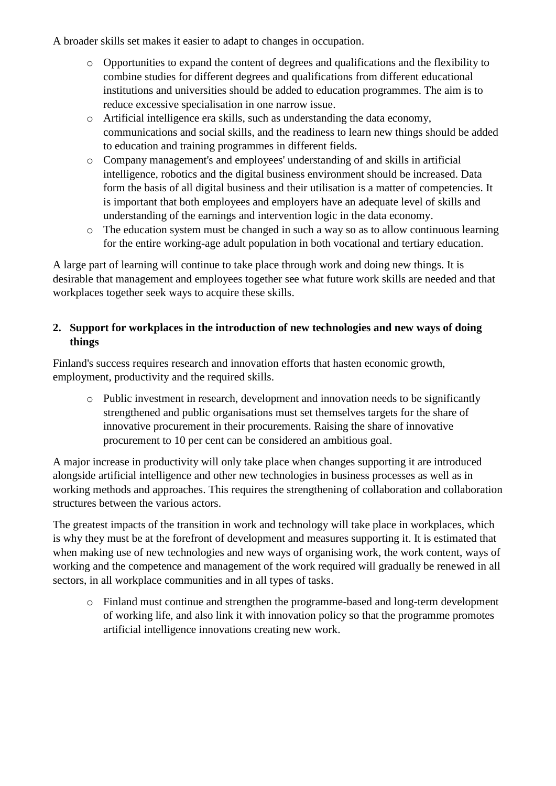A broader skills set makes it easier to adapt to changes in occupation.

- o Opportunities to expand the content of degrees and qualifications and the flexibility to combine studies for different degrees and qualifications from different educational institutions and universities should be added to education programmes. The aim is to reduce excessive specialisation in one narrow issue.
- o Artificial intelligence era skills, such as understanding the data economy, communications and social skills, and the readiness to learn new things should be added to education and training programmes in different fields.
- o Company management's and employees' understanding of and skills in artificial intelligence, robotics and the digital business environment should be increased. Data form the basis of all digital business and their utilisation is a matter of competencies. It is important that both employees and employers have an adequate level of skills and understanding of the earnings and intervention logic in the data economy.
- o The education system must be changed in such a way so as to allow continuous learning for the entire working-age adult population in both vocational and tertiary education.

A large part of learning will continue to take place through work and doing new things. It is desirable that management and employees together see what future work skills are needed and that workplaces together seek ways to acquire these skills.

## **2. Support for workplaces in the introduction of new technologies and new ways of doing things**

Finland's success requires research and innovation efforts that hasten economic growth, employment, productivity and the required skills.

o Public investment in research, development and innovation needs to be significantly strengthened and public organisations must set themselves targets for the share of innovative procurement in their procurements. Raising the share of innovative procurement to 10 per cent can be considered an ambitious goal.

A major increase in productivity will only take place when changes supporting it are introduced alongside artificial intelligence and other new technologies in business processes as well as in working methods and approaches. This requires the strengthening of collaboration and collaboration structures between the various actors.

The greatest impacts of the transition in work and technology will take place in workplaces, which is why they must be at the forefront of development and measures supporting it. It is estimated that when making use of new technologies and new ways of organising work, the work content, ways of working and the competence and management of the work required will gradually be renewed in all sectors, in all workplace communities and in all types of tasks.

o Finland must continue and strengthen the programme-based and long-term development of working life, and also link it with innovation policy so that the programme promotes artificial intelligence innovations creating new work.